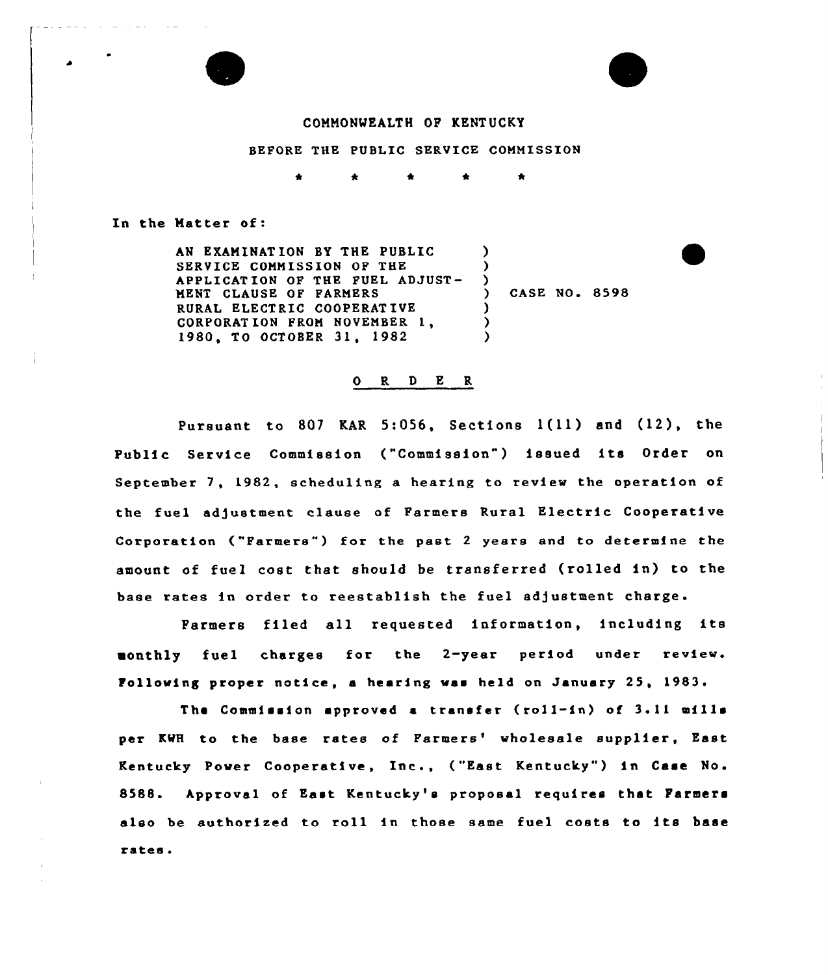

### COMMONWEALTH OP KENT UCKY

BEFORE THE PUBLIC SERVICE COMMISSION

 $\bullet$ 

In the Matter of:

AN EXAMINAT ION BY THE PUBLIC SERVICE COMMISSION OF THE APPLICATION OP THE FUEL ADJUST-MENT CLAUSE OP FARMERS RURAL ELECTRIC COOPERAT IVE CORPORAT ION PROM NOVEMBER 1, 1980, TO OCTOBER 31, 1982  $\lambda$  $\left\{ \right\}$ ) CASE NO <sup>~</sup> 8598  $\lambda$ ) )

#### 0 R <sup>D</sup> E R

Pursuant to <sup>807</sup> KAR 5:056, Sections 1(ll) and (12), the Public Service Commission ("Commission") issued its Order on September 7, 1982, scheduling a hearing to review the operation of the fuel adjustment clause of Farmers Rural Electric Cooperative Corporation ("Farmers") for the past 2 years and to determine the amount of fuel cost that should be transferred (rolled in) to the base rates in order to reestablish the fuel adjustment charge.

Farmers filed all requested information, including its monthly fuel charges for the 2-year period under review. Following proper notice, a hearing was held on January 25, 1983.

The Commission approved a transfer (roll-in) of  $3.11$  mills per KWH to the base rates of Farmers' wholesale supplier, East Kentucky Power Cooperative, Inc., ("East Kentucky") in Case No. 8588. Approval of East Kentucky's proposal requires that Farmers also be authorized to roll in those same fuel costs to its base rates.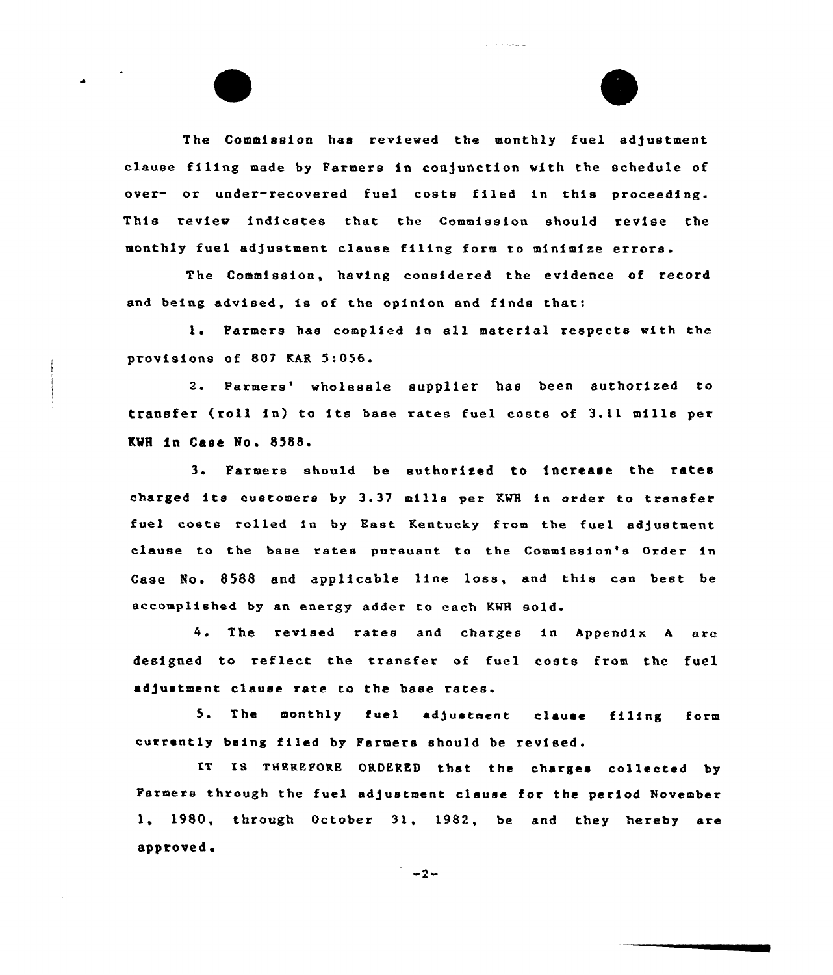The Commission has reviewed the monthly fuel adjustment clause filing made by Farmers in conjunction with the schedule of over- or under-recovered fuel costs filed in this proceeding. This review indicates that the Commission should revise the monthly fuel adjustment clause filing form to minimize errors.

The contract of the state many contract contract to the contract of

The Commission, having considered the evidence of record and being advised, is of the opinion and finds that:

1. Farmers has complied in all material respects with the provisions of 807 KAR 5:056.

2. Farmers' wholesale supplier has been authorized to transfer (roll in) to its base rates fuel costs of 3.11 mills per KWH in Case No. 8588.

Farmers should be authorised to increase the rates charged its customers by 3.37 mills per KWH in order to transfer fuel costs rolled in by East Kentucky from the fuel adjustment clause to the base rates pursuant to the Commission's Order in Case No. 8588 and applicable line loss, and this can best be accomplished by an energy adder to each KWH sold

<sup>4</sup> The revised rates and charges in Appendix <sup>A</sup> aze designed to reflect the transfer of fuel costs from the fuel adjustment clause rate to the base rates.

5. The monthly fuel sd)ustment clause filing form currently being filed by Farmers should be revised.

IT IS THEREFORE ORDERED that the charges collected by Parmers through the fuel adjustment clause for the period November 1, 1980, through October 31, 1982, be and they hereby are approved'

 $-2-$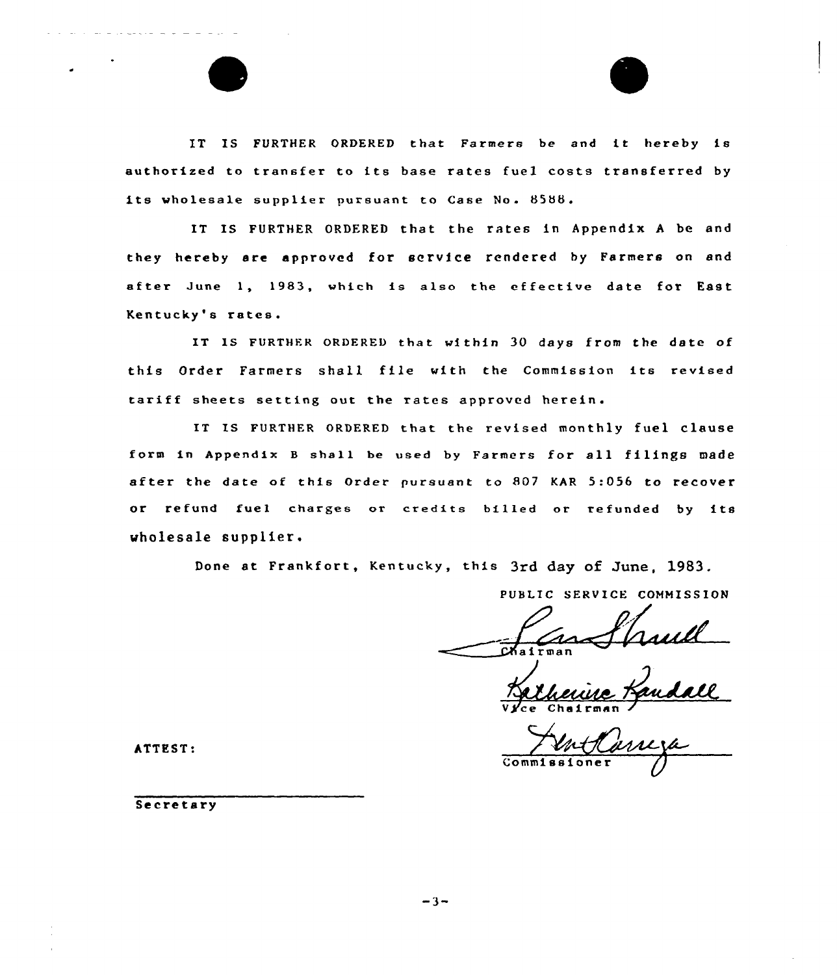IT IS FURTHER ORDERED that Farmers be and it hereby is authorized to transfer to its base rates fuel costs transferred by its wholesale supplier pursuant to Case No. 8588.

IT IS FURTHER ORDERED that the rates in Appendix A be and they hereby are approved for service rendered by Farmers on and after June 1, 1983, which is also the effective date for East Kentucky's rates.

IT IS FURTHER ORDERED that within 30 days from the date of this Order Farmers shall file with the Commission its revised tariff sheets setting out the rates approved herein.

IT IS FURTHER ORDERED that the revised monthly fuel clause form in Appendix <sup>B</sup> shall be used by Farmers for all filings made after the date of this Order pursuant to 807 KAR 5:056 to recover or refund fuel charges or credits billed or refunded by its wholesale supplier.

Done at Frankfort, Kentucky, this 3rd day of June, 1983.

PUBLIC SERVICE COMMISSION

Vyce Chairma

 $\bar{\mathbf{c}}$ o

ATTEST:

Secretary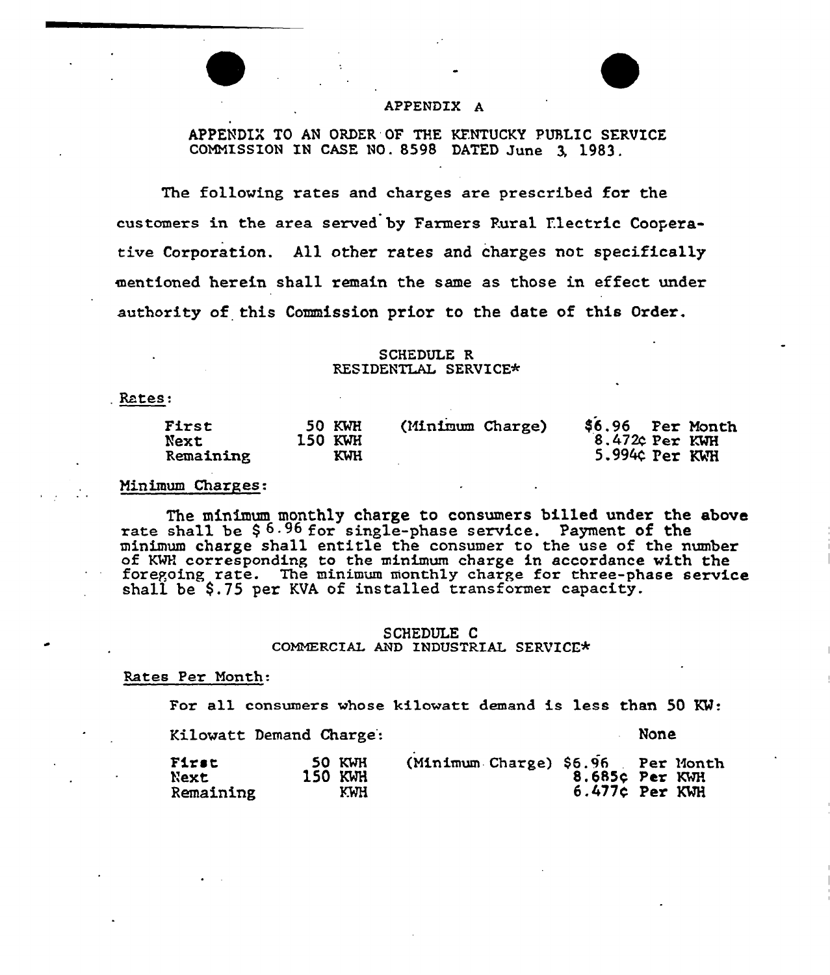# APPENDIX A

APPENDIX TO AN ORDER'OF THE KFNTUCKY PUBLIC SERVICE COMMISSION IN CASE NO. 8598 DATED June 3, 1983.

The following rates and charges are prescribed for the customers in the area served by Farmers Rural Ilectric Cooperative Corporation. All other rates and charges not specifically mentioned herein shall remain the same as those in effect under authority of this Commission prior to the date of this Order.

### SCHEDULE R RESIDENTLAL SERVICE\*

Rates:

### Minimum Charges:

The minimum monthly charge to consumers billed under the above rate shall be \$6.96 for single-phase service. Payment of the minimum charge shall entitle the consumer to the use of the number of KMH corresponding to the minimum charge in accordance with the foregoing rate. The minimum monthly charge for three-phase service shall be \$.75 per KVA of installed transformer capacity.

### SCHEDULE C COMMERCIAL AND INDUSTRIAL SERVICE\*

### Rates Per Month:

For all consumers whose kilowatt demand is less than 50 KW:

Kilowatt Demand Charge':

None

| 50 KWH<br>First<br>150 KWH<br>Next<br>K.W.H<br>Remaining | (Minimum Charge) \$6.96 Per Month | 8.685¢ Per KWH<br>$6.477c$ Per KWH |  |
|----------------------------------------------------------|-----------------------------------|------------------------------------|--|
|----------------------------------------------------------|-----------------------------------|------------------------------------|--|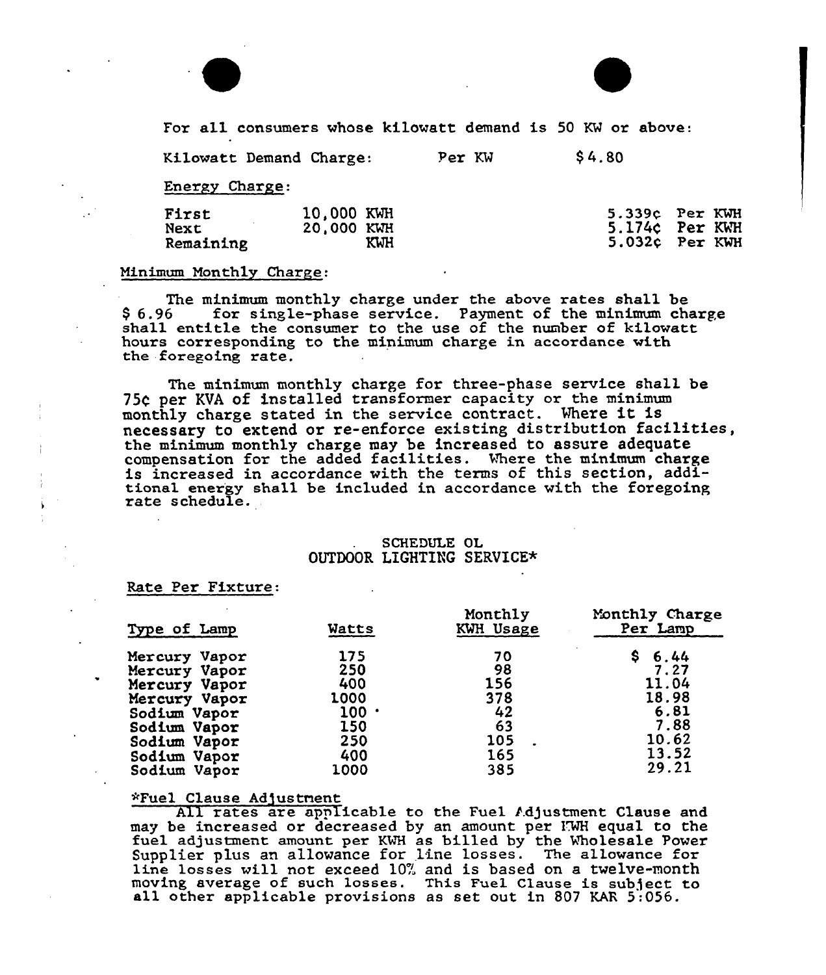



For all consumers whose kilowatt demand is 50 KW or above:

Kilowatt Demand Charge: Per KW \$4.80

Energy Charge:

| First     | 10,000 KWH |     | $5.339c$ Per KWH |
|-----------|------------|-----|------------------|
| Next      | 20,000 KWH |     | 5.174c Per KWH   |
| Remaining |            | KWH | $5.032c$ Per KWH |
|           |            |     |                  |

### Minimum Monthly Charge:

The minimum monthly charge under the above rates shall be<br>\$6.96 for single-phase service. Payment of the minimum cha for single-phase service. Payment of the minimum charge shall entitle the consumer to the use of the number of kilowatt hours corresponding to the minimum charge in accordance with the foregoing rate.

The minimum monthly chazge foz three-phase service shall be 754 per KVA of installed transformer capacity or the minimum monthly charge stated in the service contract. Vhere it is necessary to extend or re-enforce existing distribution facilities, the minimum monthly charge may be increased to assure adequat compensation for the added facilities. %here the minimum charge is increased in accordance with the terms of this section, additional energy shall be included in accordance with the foregoing rate schedule.

# SCHEDULE OL OUTDOOR LIGHTING SERVICE\*

Rate Per Fixture:

| Type of Lamp  | Watts | Monthly<br>KWH Usage | Monthly Charge<br>Per Lamp |
|---------------|-------|----------------------|----------------------------|
| Mercury Vapor | 175   | 70                   | S.<br>6.44                 |
| Mercury Vapor | 250   | 98                   | 7.27                       |
| Mercury Vapor | 400   | 156                  | 11.04                      |
| Mercury Vapor | 1000  | 378                  | 18.98                      |
| Sodium Vapor  | 100:  | 42                   | 6.81                       |
| Sodium Vapor  | 150   | 63                   | 7.88                       |
| Sodium Vapor  | 250   | 105                  | 10.62                      |
| Sodium Vapor  | 400   | 165                  | 13.52                      |
| Sodium Vapor  | 1000  | 385                  | 29.21                      |

### ~Fuel Clause Adjustnent

All rates are applicable to the Fuel Adjustment Clause and may be increased or decreased by an amount per IWH equal to the fuel adjustment amount per KWH as billed by the Wholesale Power Supplier plus an allowance for line losses. The allowance for line losses will not exceed 10% and is based on a twelve-month moving average of such losses. This Fuel Clause is subject to all other applicable pzovisions as set out in <sup>807</sup> KAR 5:056.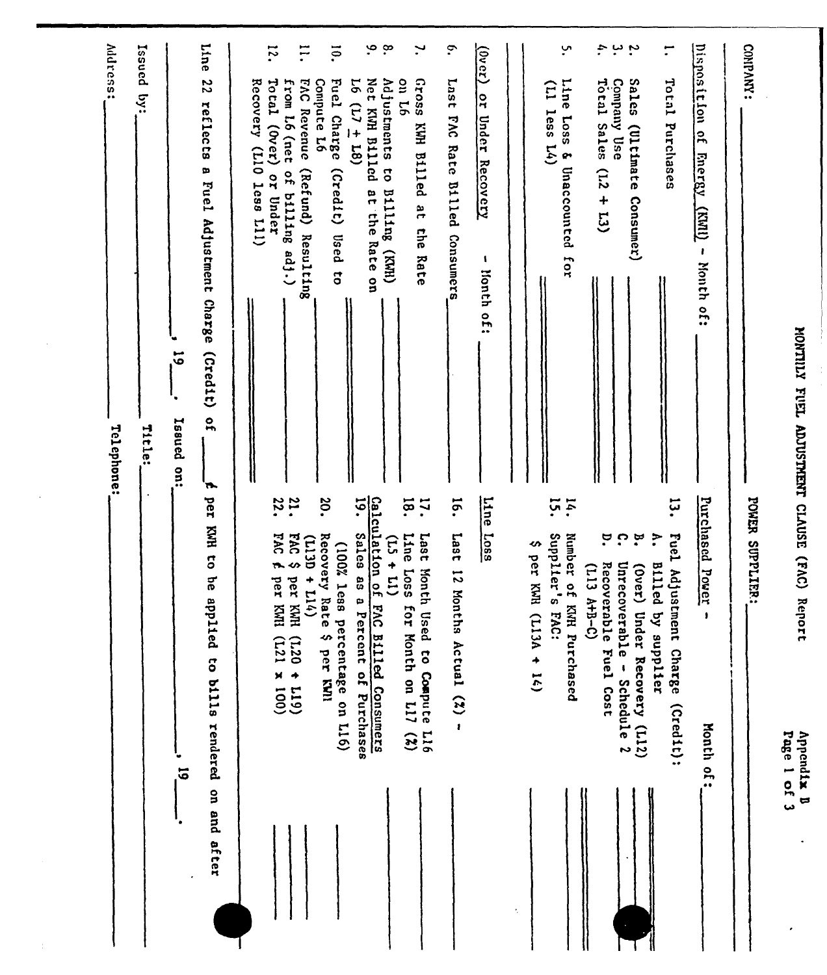| Vddress:<br>Issued<br>$\ddot{S}$<br>Telephone:<br>Title: | Line<br>22<br>reflects<br>œ<br>Fuel Adjustment Charge<br>(cred1t)<br>5<br>$\overline{10}$<br>Isaued<br>$\frac{1}{2}$<br>$\overline{\phantom{a}}$<br>ber<br>KNK<br>$\overline{\mathbf{c}}$<br>9q<br>dde<br>11ed<br>to bills rendered<br>$\overline{5}$<br>on and<br>after | $\overline{\phantom{0}}$<br>Recovery (L10<br>Total (Over)<br>or Under<br>1css L11) | $\overline{1}$<br>from L6 (net<br><b>FAC Revenue</b><br>of billing adj.)<br>(Refund) Resulting<br>$\frac{21}{22}$ .<br><b>DAC</b><br><b>EAC</b><br>(T13D)<br>$\bullet$<br>↭<br>$+114)$<br>per KWH<br>per KWI<br>$(611 + 027)$<br>$(001 \times 127)$ | io.<br>Compute 16<br>Fuel Charge<br>(c <sub>red1</sub> c)<br><b>Used</b><br>$\overline{\mathbf{c}}$<br>20.<br>Recovery Rate<br>(100% less<br>percentage on L16)<br>$\bullet$<br>per KNI | $\sim$<br>Net KWH B111cd<br>$16(1) + 18$<br>at the Rate on<br>Calculation of FAC Billed Consumers<br>$\overline{19}$ .<br>Sales as a<br>Percent of Purchases | $\mathbf{\hat{e}}$<br>$\mathbf{v}$<br><b>Gross</b><br>Adjustments to<br>on L6<br>KWN B111ed<br>8u11110<br>ar<br><b>Ehe</b><br>(MM)<br>Rate<br>ig.<br>17.<br>Line<br>1887<br>$\Xi$<br>$\frac{1}{11}$<br><b>Loss</b><br>Month Used to Compute L16<br>for Month on L17<br>(2) | $\tilde{\cdot}$<br>Last<br><b>ENG</b><br>Rate<br><b>Billed</b><br>Consumers<br>$\overline{5}$<br>1ser <sub>1</sub><br>12 Months Actual $(2)$ - | $\frac{(\ln c_1)}{(\ln c_2)}$<br><b>PL</b><br>Under<br>Recovery<br>$\mathbf{I}$<br>lionth<br>$\frac{1}{2}$<br>Line<br>1.088 | E<br>less<br>L(4)<br>$\overline{5}$<br>Supplier's<br>↭<br>per KWH (L13A + 14)<br>EAC: | ب<br>Line<br><b>Loss</b><br>& Unaccounted for<br>$\mathbf{14}$<br>Number of KNH Purchased<br>$(113 A+B-C)$ | ÷.<br>ىر ب<br>Sales<br>Total Sales<br>Company Use<br>(Ultimate<br>(12)<br>$+13)$<br>Comsumer)<br>$\ddot{\phantom{0}}$<br>$\mathbf{C}$<br>$\tilde{\mathbf{a}}$<br>Unrecoverable -<br>Recoverable Fuel Cost<br>(Over)<br>Under Recovery (L12)<br>Schedule 2 | $\mathbf{r}$<br>Total Purchases<br>تا.<br>•<br>Fuel Adjustment Charge<br>$\mathbf{\dot{z}}$<br>Billed by<br>supplier<br>$(Cred 1t)$ : | Disposition<br>$\frac{1}{2}$<br><b>Energy</b><br>$\overline{\text{Lump}}$<br>л.<br>Month of:<br>Purchased<br>Pover<br>$\pmb{\mathfrak{z}}$<br>Month of: | COMPANY:<br>POWER SUPPLIER: | YONTILY FUEL ADJUSTMENT CLAUSE (FAC)<br>Rep<br>ort<br>d x1bend1x<br>Page 1 of 3 |
|----------------------------------------------------------|--------------------------------------------------------------------------------------------------------------------------------------------------------------------------------------------------------------------------------------------------------------------------|------------------------------------------------------------------------------------|-----------------------------------------------------------------------------------------------------------------------------------------------------------------------------------------------------------------------------------------------------|-----------------------------------------------------------------------------------------------------------------------------------------------------------------------------------------|--------------------------------------------------------------------------------------------------------------------------------------------------------------|----------------------------------------------------------------------------------------------------------------------------------------------------------------------------------------------------------------------------------------------------------------------------|------------------------------------------------------------------------------------------------------------------------------------------------|-----------------------------------------------------------------------------------------------------------------------------|---------------------------------------------------------------------------------------|------------------------------------------------------------------------------------------------------------|-----------------------------------------------------------------------------------------------------------------------------------------------------------------------------------------------------------------------------------------------------------|---------------------------------------------------------------------------------------------------------------------------------------|---------------------------------------------------------------------------------------------------------------------------------------------------------|-----------------------------|---------------------------------------------------------------------------------|
|                                                          |                                                                                                                                                                                                                                                                          |                                                                                    |                                                                                                                                                                                                                                                     |                                                                                                                                                                                         |                                                                                                                                                              |                                                                                                                                                                                                                                                                            |                                                                                                                                                |                                                                                                                             | ÷,                                                                                    |                                                                                                            |                                                                                                                                                                                                                                                           |                                                                                                                                       |                                                                                                                                                         |                             |                                                                                 |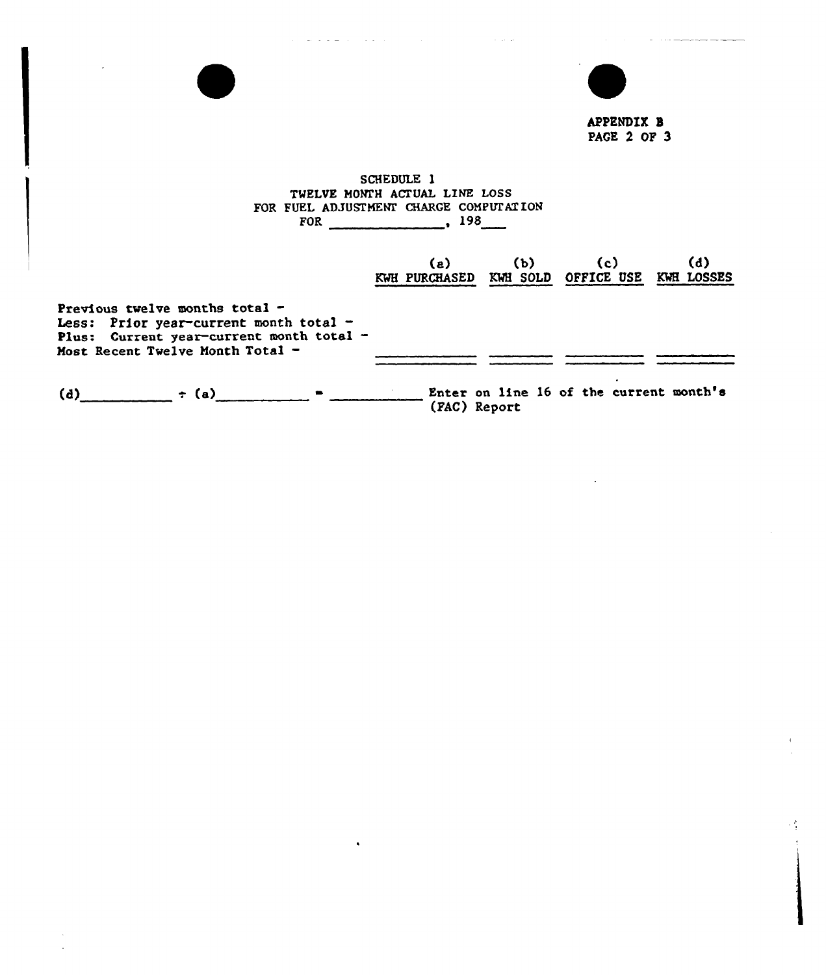

المتحدث المستحيلة المرابط